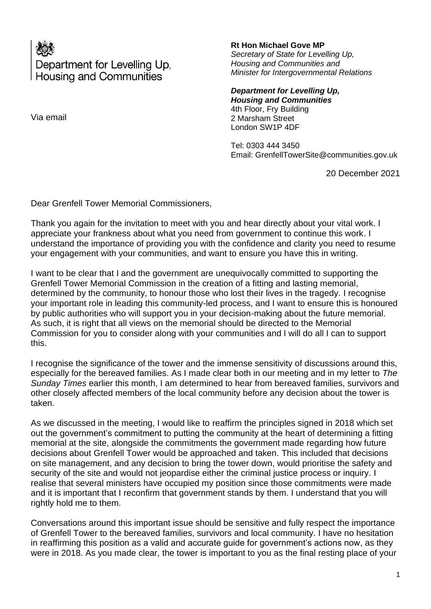Department for Levelling Up, **Housing and Communities** 

Via email

## **Rt Hon Michael Gove MP**

*Secretary of State for Levelling Up, Housing and Communities and Minister for Intergovernmental Relations*

*Department for Levelling Up, Housing and Communities* 4th Floor, Fry Building 2 Marsham Street London SW1P 4DF

Tel: 0303 444 3450 Email: GrenfellTowerSite@communities.gov.uk

20 December 2021

Dear Grenfell Tower Memorial Commissioners,

Thank you again for the invitation to meet with you and hear directly about your vital work. I appreciate your frankness about what you need from government to continue this work. I understand the importance of providing you with the confidence and clarity you need to resume your engagement with your communities, and want to ensure you have this in writing.

I want to be clear that I and the government are unequivocally committed to supporting the Grenfell Tower Memorial Commission in the creation of a fitting and lasting memorial, determined by the community, to honour those who lost their lives in the tragedy. I recognise your important role in leading this community-led process, and I want to ensure this is honoured by public authorities who will support you in your decision-making about the future memorial. As such, it is right that all views on the memorial should be directed to the Memorial Commission for you to consider along with your communities and I will do all I can to support this.

I recognise the significance of the tower and the immense sensitivity of discussions around this, especially for the bereaved families. As I made clear both in our meeting and in my letter to *The Sunday Times* earlier this month, I am determined to hear from bereaved families, survivors and other closely affected members of the local community before any decision about the tower is taken.

As we discussed in the meeting, I would like to reaffirm the principles signed in 2018 which set out the government's commitment to putting the community at the heart of determining a fitting memorial at the site, alongside the commitments the government made regarding how future decisions about Grenfell Tower would be approached and taken. This included that decisions on site management, and any decision to bring the tower down, would prioritise the safety and security of the site and would not jeopardise either the criminal justice process or inquiry. I realise that several ministers have occupied my position since those commitments were made and it is important that I reconfirm that government stands by them. I understand that you will rightly hold me to them.

Conversations around this important issue should be sensitive and fully respect the importance of Grenfell Tower to the bereaved families, survivors and local community. I have no hesitation in reaffirming this position as a valid and accurate guide for government's actions now, as they were in 2018. As you made clear, the tower is important to you as the final resting place of your